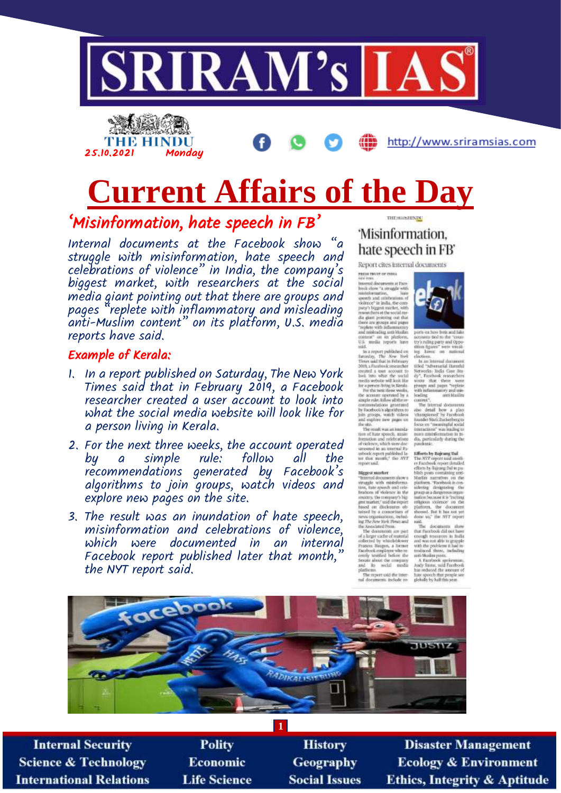



ŒĎ http://www.sriramsias.com

# **Current Affairs of the Day**

# 'Misinformation, hate speech in FB'

Internal documents at the Facebook show "a struggle with misinformation, hate speech and celebrations of violence" in India, the company's biggest market, with researchers at the social media giant pointing out that there are groups and pages "replete with inflammatory and misleading anti-Muslim content" on its platform, U.S. media reports have said.

#### Example of Kerala:

- 1. In a report published on Saturday, The New York Times said that in February 2019, a Facebook researcher created a user account to look into what the social media website will look like for a person living in Kerala.
- 2. For the next three weeks, the account operated<br>by a simple rule: follow all the by a simple recommendations generated by Facebook's algorithms to join groups, watch videos and explore new pages on the site.
- 3. The result was an inundation of hate speech, misinformation and celebrations of violence, which were documented in an internal Facebook report published later that month," the NYT report said.

THOMASHIND

### 'Misinformation. hate speech in FB'

Report cites internal documents

FEELLY THATE OF ITERA ternal documents at 1<br>volt above "a struggle  $\footnotesize$  reals also<br>as  $^3$  a arraggin with an annual contraction of the<br>spaced and arist contracts of solutions of solutions of the solution<br>posed and arist contracts with the contract of the space point<br>in a space of the Tephne with influentum<br>and mislending anti-Mauline<br>notes of an an platform,<br>25. media - reports - have<br>sid.

U.S. media reports have tryin raling party and Organization and the strongly. The New here here we wish of the mass of the strongly the New here the contained formula deconomic Steel, a finite-book conservative strongly i

and explore more pages on the<br>analysis function from the state of the sum of the state of the state<br>of the state of the state of the state of the speed  $\eta$ <br>and state in the speed  $\eta$  and the speed as since of the<br>state

means equivalently recently and the second that the Associated Press, the actual and the Associated Press, the actual and the form of the decoration of the press of a larger calculated constraints are part. The decoration morms<br>The report told the Inter-<br>I documents Include re-



try's ruling party and Op

have speech that people:<br>globally by Ault this year.



**Internal Security Science & Technology International Relations** 

**Polity** Economic **Life Science** 

**History** Geography **Social Issues** 

**Disaster Management Ecology & Environment Ethics, Integrity & Aptitude**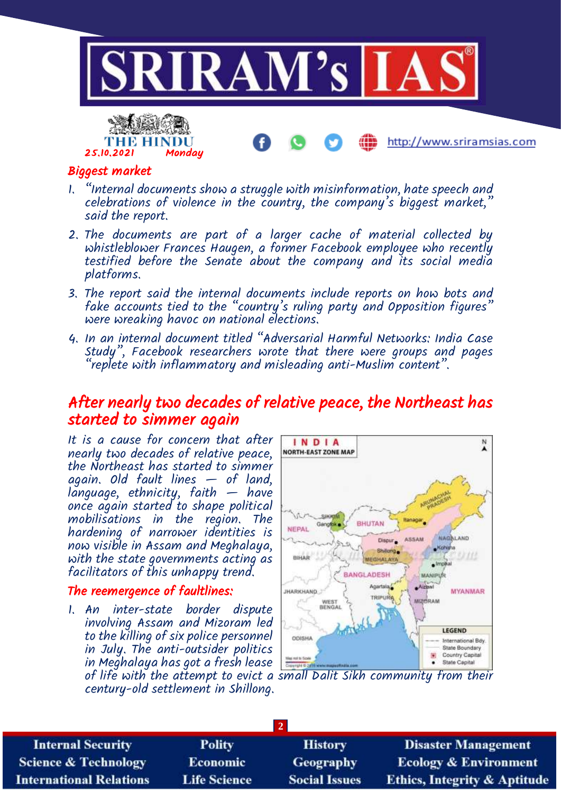



http://www.sriramsias.com

### Biggest market

- $\degree$ Internal documents show a struggle with misinformation, hate speech and celebrations of violence in the country, the company's biggest market," said the report.
- 2. The documents are part of a larger cache of material collected by whistleblower Frances Haugen, a former Facebook employee who recently testified before the Senate about the company and its social media platforms.
- 3. The report said the internal documents include reports on how bots and fake accounts tied to the "country's ruling party and Opposition figures' were wreaking havoc on national elections.
- 4. In an internal document titled "Adversarial Harmful Networks: India Case Study", Facebook researchers wrote that there were groups and pages "replete with inflammatory and misleading anti-Muslim content".

# After nearly two decades of relative peace, the Northeast has started to simmer again

It is a cause for concern that after nearly two decades of relative peace, the Northeast has started to simmer again. Old fault lines — of land, language, ethnicity, faith — have once again started to shape political mobilisations in the region. The hardening of narrower identities is now visible in Assam and Meghalaya, with the state governments acting as facilitators of this unhappy trend.

### The reemergence of faultlines:

1. An inter-state border dispute involving Assam and Mizoram led to the killing of six police personnel in July. The anti-outsider politics in Meghalaya has got a fresh lease century-old settlement in Shillong.



of life with the attempt to evict a small Dalit Sikh community from their

| <b>Internal Security</b>        | <b>Polity</b>       | <b>History</b>       | <b>Disaster Management</b>              |  |
|---------------------------------|---------------------|----------------------|-----------------------------------------|--|
| <b>Science &amp; Technology</b> | <b>Economic</b>     | <b>Geography</b>     | <b>Ecology &amp; Environment</b>        |  |
| <b>International Relations</b>  | <b>Life Science</b> | <b>Social Issues</b> | <b>Ethics, Integrity &amp; Aptitude</b> |  |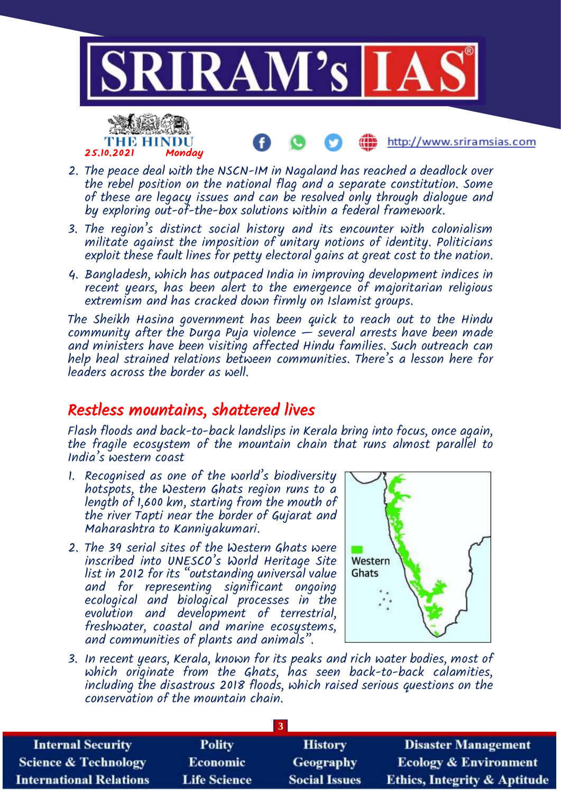

- 2. The peace deal with the NSCN-IM in Nagaland has reached a deadlock over the rebel position on the national flag and a separate constitution. Some of these are legacy issues and can be resolved only through dialogue and by exploring out-of-the-box solutions within a federal framework.
- 3. The region's distinct social history and its encounter with colonialism militate against the imposition of unitary notions of identity. Politicians exploit these fault lines for petty electoral gains at great cost to the nation.
- 4. Bangladesh, which has outpaced India in improving development indices in recent years, has been alert to the emergence of majoritarian religious extremism and has cracked down firmly on Islamist groups.

The Sheikh Hasina government has been quick to reach out to the Hindu community after the Durga Puja violence  $-$  several arrests have been made and ministers have been visiting affected Hindu families. Such outreach can help heal strained relations between communities. There's a lesson here for leaders across the border as well.

### Restless mountains, shattered lives

25.10.2021 Monday

THE HINDU

Flash floods and back-to-back landslips in Kerala bring into focus, once again, the fragile ecosystem of the mountain chain that runs almost parallel to India's western coast

- 1. Recognised as one of the world's biodiversity hotspots, the Western Ghats region runs to a length of 1,600 km, starting from the mouth of the river Tapti near the border of Gujarat and Maharashtra to Kanniyakumari.
- 2. The 39 serial sites of the Western Ghats were inscribed into UNESCO's World Heritage Site list in 2012 for its "outstanding universal value and for representing significant ongoing ecological and biological processes in the evolution and development of terrestrial, freshwater, coastal and marine ecosystems, and communities of plants and animals".



http://www.sriramsias.com

3. In recent years, Kerala, known for its peaks and rich water bodies, most of which originate from the Ghats, has seen back-to-back calamities, including the disastrous 2018 floods, which raised serious questions on the conservation of the mountain chain.

| <b>Internal Security</b>        | <b>Polity</b>       | <b>History</b>       | <b>Disaster Management</b>              |  |
|---------------------------------|---------------------|----------------------|-----------------------------------------|--|
| <b>Science &amp; Technology</b> | <b>Economic</b>     | Geography            | <b>Ecology &amp; Environment</b>        |  |
| <b>International Relations</b>  | <b>Life Science</b> | <b>Social Issues</b> | <b>Ethics, Integrity &amp; Aptitude</b> |  |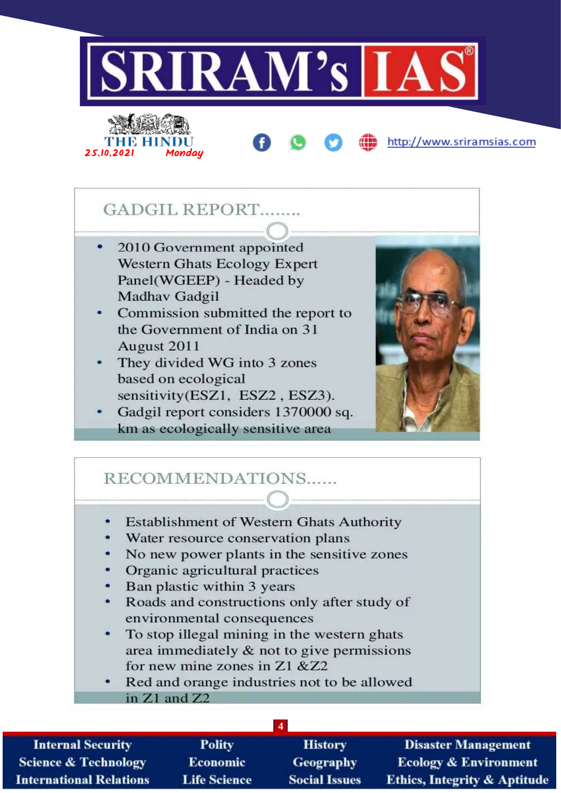

# GADGIL REPORT........

Mondau

25.10.2021

- 2010 Government appointed **Western Ghats Ecology Expert** Panel(WGEEP) - Headed by **Madhav Gadgil**
- Commission submitted the report to the Government of India on 31 August 2011
- They divided WG into 3 zones based on ecological
- sensitivity(ESZ1, ESZ2, ESZ3). Gadgil report considers 1370000 sq.
- km as ecologically sensitive area



http://www.sriramsias.com

### RECOMMENDATIONS......

- **Establishment of Western Ghats Authority**
- Water resource conservation plans
- No new power plants in the sensitive zones
- Organic agricultural practices
- Ban plastic within 3 years
- Roads and constructions only after study of environmental consequences
- To stop illegal mining in the western ghats area immediately & not to give permissions for new mine zones in Z1 &Z2
- Red and orange industries not to be allowed in Z1 and Z2

| <b>Internal Security</b>        | <b>Polity</b>       | <b>History</b>       | <b>Disaster Management</b>              |  |  |
|---------------------------------|---------------------|----------------------|-----------------------------------------|--|--|
| <b>Science &amp; Technology</b> | <b>Economic</b>     | <b>Geography</b>     | <b>Ecology &amp; Environment</b>        |  |  |
| <b>International Relations</b>  | <b>Life Science</b> | <b>Social Issues</b> | <b>Ethics, Integrity &amp; Aptitude</b> |  |  |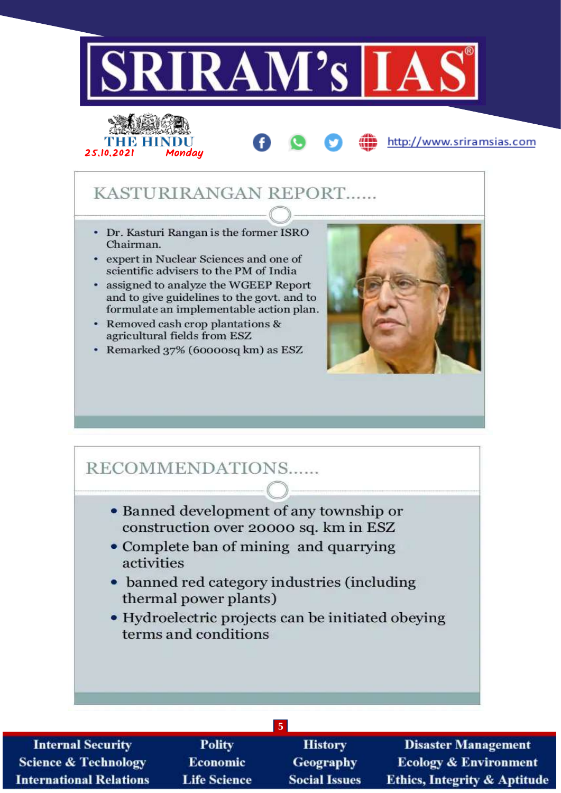



# KASTURIRANGAN REPORT......

- Dr. Kasturi Rangan is the former ISRO Chairman.
- expert in Nuclear Sciences and one of scientific advisers to the PM of India
- \* assigned to analyze the WGEEP Report and to give guidelines to the govt. and to formulate an implementable action plan.
- Removed cash crop plantations & agricultural fields from ESZ
- Remarked 37% (60000sq km) as ESZ



http://www.sriramsias.com

# RECOMMENDATIONS......

- Banned development of any township or construction over 20000 sq. km in ESZ
- Complete ban of mining and quarrying activities
- banned red category industries (including thermal power plants)
- Hydroelectric projects can be initiated obeying terms and conditions

| <b>Internal Security</b>        | <b>Polity</b>       | <b>History</b>       | <b>Disaster Management</b>              |  |
|---------------------------------|---------------------|----------------------|-----------------------------------------|--|
| <b>Science &amp; Technology</b> | <b>Economic</b>     | <b>Geography</b>     | <b>Ecology &amp; Environment</b>        |  |
| <b>International Relations</b>  | <b>Life Science</b> | <b>Social Issues</b> | <b>Ethics, Integrity &amp; Aptitude</b> |  |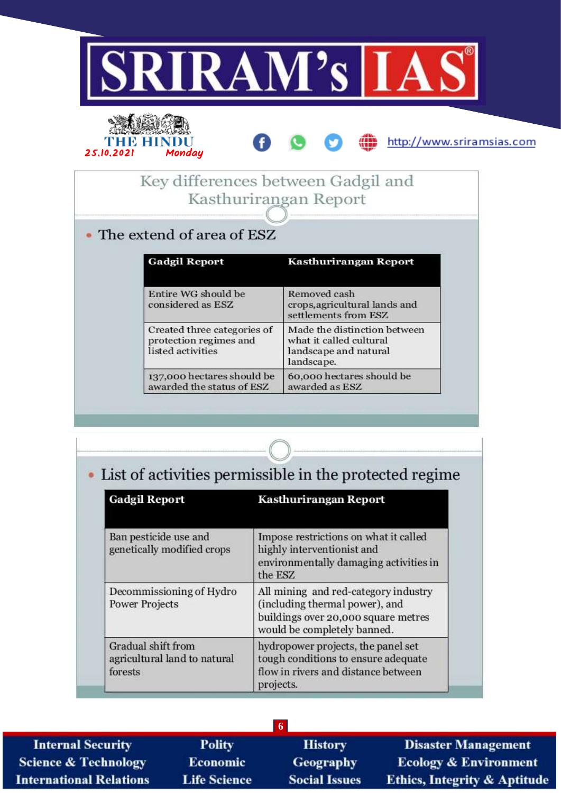

0.

http://www.sriramsias.com





➊

# • The extend of area of ESZ

| <b>Gadgil Report</b>                                                       | Kasthurirangan Report                                                                          |  |  |
|----------------------------------------------------------------------------|------------------------------------------------------------------------------------------------|--|--|
| Entire WG should be<br>considered as ESZ                                   | Removed cash<br>crops, agricultural lands and<br>settlements from ESZ                          |  |  |
| Created three categories of<br>protection regimes and<br>listed activities | Made the distinction between<br>what it called cultural<br>landscape and natural<br>landscape. |  |  |
| 137,000 hectares should be<br>awarded the status of ESZ                    | 60,000 hectares should be<br>awarded as ESZ                                                    |  |  |

| <b>Gadgil Report</b>                                          | Kasthurirangan Report                                                                                                                        |
|---------------------------------------------------------------|----------------------------------------------------------------------------------------------------------------------------------------------|
| Ban pesticide use and<br>genetically modified crops           | Impose restrictions on what it called<br>highly interventionist and<br>environmentally damaging activities in<br>the ESZ                     |
| Decommissioning of Hydro<br><b>Power Projects</b>             | All mining and red-category industry<br>(including thermal power), and<br>buildings over 20,000 square metres<br>would be completely banned. |
| Gradual shift from<br>agricultural land to natural<br>forests | hydropower projects, the panel set<br>tough conditions to ensure adequate<br>flow in rivers and distance between<br>projects.                |

×

| $\overline{6}$                  |                     |                      |                                         |  |
|---------------------------------|---------------------|----------------------|-----------------------------------------|--|
| <b>Internal Security</b>        | <b>Polity</b>       | <b>History</b>       | <b>Disaster Management</b>              |  |
| <b>Science &amp; Technology</b> | <b>Economic</b>     | Geography            | <b>Ecology &amp; Environment</b>        |  |
| <b>International Relations</b>  | <b>Life Science</b> | <b>Social Issues</b> | <b>Ethics, Integrity &amp; Aptitude</b> |  |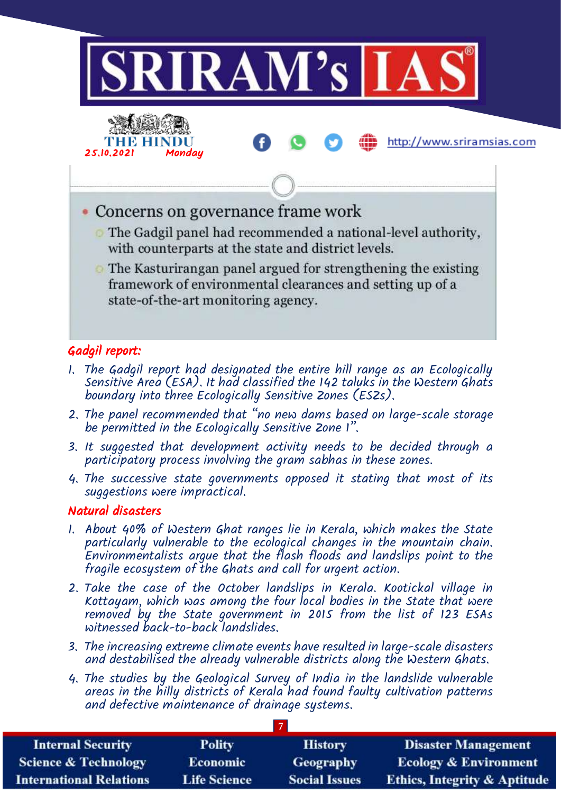

- 2. The panel recommended that "no new dams based on large-scale storage be permitted in the Ecologically Sensitive Zone I".
- 3. It suggested that development activity needs to be decided through a participatory process involving the gram sabhas in these zones.
- 4. The successive state governments opposed it stating that most of its suggestions were impractical.

### Natural disasters

- 1. About 40% of Western Ghat ranges lie in Kerala, which makes the State particularly vulnerable to the ecological changes in the mountain chain. Environmentalists argue that the flash floods and landslips point to the fragile ecosystem of the Ghats and call for urgent action.
- 2. Take the case of the October landslips in Kerala. Kootickal village in Kottayam, which was among the four local bodies in the State that were removed by the State government in 2015 from the list of 123 ESAs witnessed back-to-back landslides.
- 3. The increasing extreme climate events have resulted in large-scale disasters and destabilised the already vulnerable districts along the Western Ghats.
- 4. The studies by the Geological Survey of India in the landslide vulnerable areas in the hilly districts of Kerala had found faulty cultivation patterns and defective maintenance of drainage systems.

| <b>Internal Security</b>        | <b>Polity</b>       | <b>History</b>       | <b>Disaster Management</b>              |  |
|---------------------------------|---------------------|----------------------|-----------------------------------------|--|
| <b>Science &amp; Technology</b> | <b>Economic</b>     | <b>Geography</b>     | <b>Ecology &amp; Environment</b>        |  |
| <b>International Relations</b>  | <b>Life Science</b> | <b>Social Issues</b> | <b>Ethics, Integrity &amp; Aptitude</b> |  |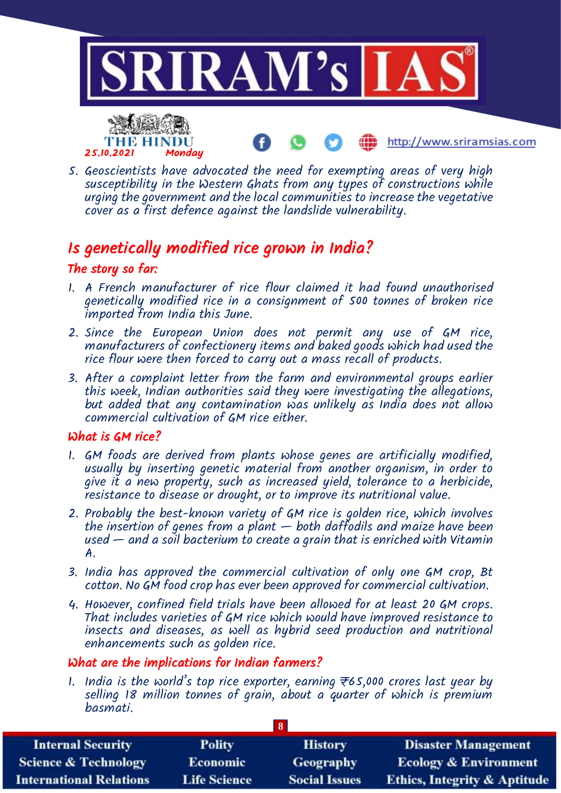

5. Geoscientists have advocated the need for exempting areas of very high susceptibility in the Western Ghats from any types of constructions while urging the government and the local communities to increase the vegetative cover as a first defence against the landslide vulnerability.

# Is genetically modified rice grown in India?

### The story so far:

- 1. A French manufacturer of rice flour claimed it had found unauthorised genetically modified rice in a consignment of 500 tonnes of broken rice imported from India this June.
- 2. Since the European Union does not permit any use of GM rice, manufacturers of confectionery items and baked goods which had used the rice flour were then forced to carry out a mass recall of products.
- 3. After a complaint letter from the farm and environmental groups earlier this week, Indian authorities said they were investigating the allegations, but added that any contamination was unlikely as India does not allow commercial cultivation of GM rice either.

### What is GM rice?

- 1. GM foods are derived from plants whose genes are artificially modified, usually by inserting genetic material from another organism, in order to give it a new property, such as increased yield, tolerance to a herbicide, resistance to disease or drought, or to improve its nutritional value.
- 2. Probably the best-known variety of GM rice is golden rice, which involves the insertion of genes from a plant  $-$  both daffodils and maize have been used  $-$  and a soil bacterium to create a grain that is enriched with Vitamin A.
- 3. India has approved the commercial cultivation of only one GM crop, Bt cotton. No GM food crop has ever been approved for commercial cultivation.
- 4. However, confined field trials have been allowed for at least 20 GM crops. That includes varieties of GM rice which would have improved resistance to insects and diseases, as well as hybrid seed production and nutritional enhancements such as golden rice.

### What are the implications for Indian farmers?

1. India is the world's top rice exporter, earning  $\overline{\tau}$ 65,000 crores last year by selling 18 million tonnes of grain, about a quarter of which is premium basmati.

| <b>Internal Security</b>        | Polity              | <b>History</b>       | <b>Disaster Management</b>              |  |
|---------------------------------|---------------------|----------------------|-----------------------------------------|--|
| <b>Science &amp; Technology</b> | <b>Economic</b>     | Geography            | <b>Ecology &amp; Environment</b>        |  |
| <b>International Relations</b>  | <b>Life Science</b> | <b>Social Issues</b> | <b>Ethics, Integrity &amp; Aptitude</b> |  |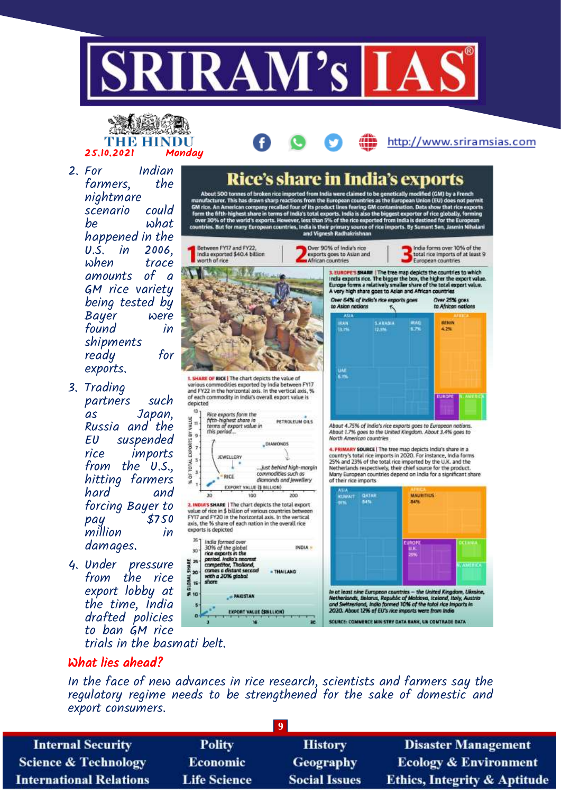



 $what$ 

2. For Indian<br>farmers. the farmers,

scenario<br>be

U.S. in<br>when

shipments

exports.

3. Trading

nightmare<br>scenario could



http://www.sriramsias.com

About 500 tonnes of broken rice imported from India were claimed to be genetically modified (GM) by a French<br>manufacturer. This has drawn sharp reactions from the European countries as the European Union (EU) does not perm



trials in the basmati belt.

### What lies ahead?

damages.

In the face of new advances in rice research, scientists and farmers say the regulatory regime needs to be strengthened for the sake of domestic and export consumers.

| <b>Internal Security</b>        | <b>Polity</b>       | <b>History</b>       | <b>Disaster Management</b>              |  |
|---------------------------------|---------------------|----------------------|-----------------------------------------|--|
| <b>Science &amp; Technology</b> | <b>Economic</b>     | <b>Geography</b>     | <b>Ecology &amp; Environment</b>        |  |
| <b>International Relations</b>  | <b>Life Science</b> | <b>Social Issues</b> | <b>Ethics, Integrity &amp; Aptitude</b> |  |